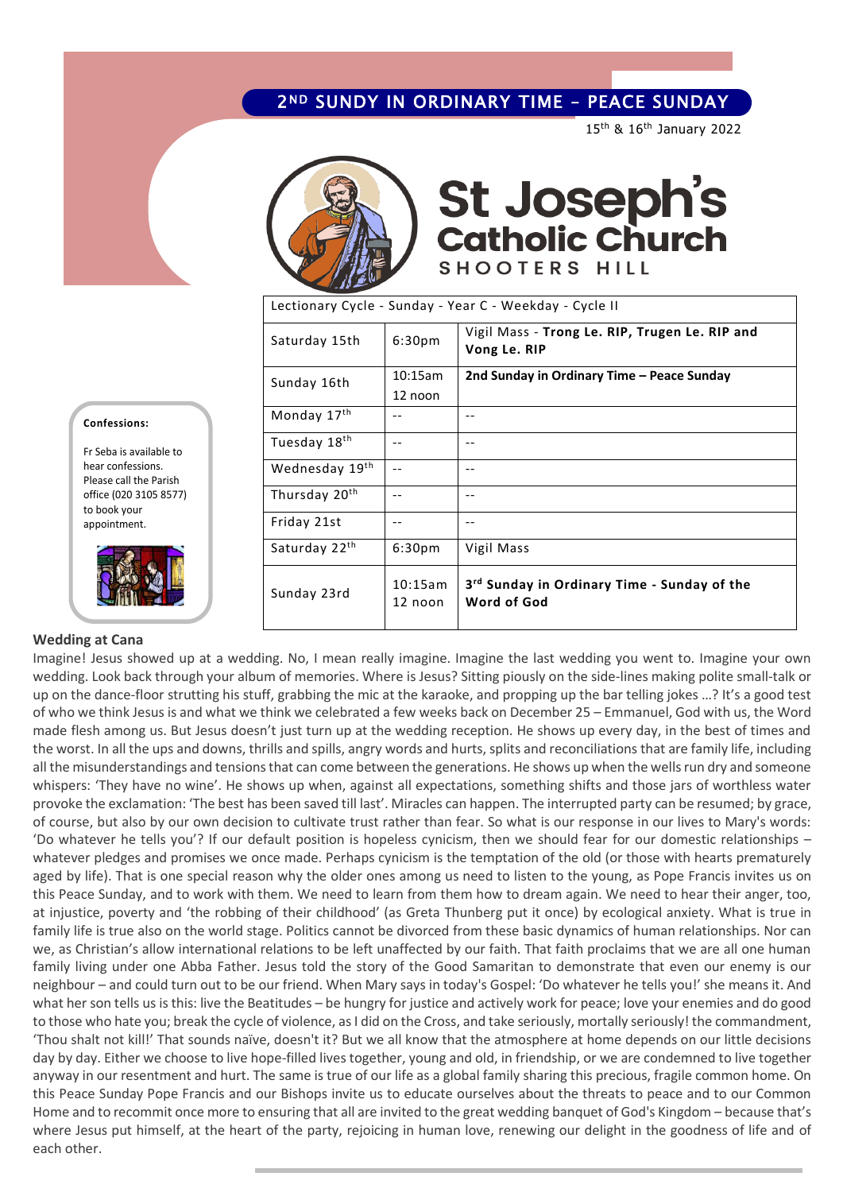### 2ND SUNDY IN ORDINARY TIME – PEACE SUNDAY

15th & 16th January 2022



# **St Joseph's<br>Catholic Church** SHOOTERS HILL

Lectionary Cycle - Sunday - Year C - Weekday - Cycle II

| Saturday 15th             | 6:30 <sub>pm</sub> | Vigil Mass - Trong Le. RIP, Trugen Le. RIP and<br>Vong Le. RIP         |
|---------------------------|--------------------|------------------------------------------------------------------------|
| Sunday 16th               | 10:15am            | 2nd Sunday in Ordinary Time - Peace Sunday                             |
|                           | 12 noon            |                                                                        |
| Monday 17th               | $ -$               | $-$                                                                    |
| Tuesday 18th              | --                 | --                                                                     |
| Wednesday 19th            | $-$                | $ -$                                                                   |
| Thursday 20 <sup>th</sup> | --                 | --                                                                     |
| Friday 21st               | $ -$               | --                                                                     |
| Saturday 22 <sup>th</sup> | 6:30 <sub>pm</sub> | Vigil Mass                                                             |
| Sunday 23rd               | 10:15am<br>12 noon | 3 <sup>rd</sup> Sunday in Ordinary Time - Sunday of the<br>Word of God |

#### **Confessions:**

Fr Seba is available to hear confessions. Please call the Parish office (020 3105 8577) to book your appointment.



### **Wedding at Cana**

Imagine! Jesus showed up at a wedding. No, I mean really imagine. Imagine the last wedding you went to. Imagine your own wedding. Look back through your album of memories. Where is Jesus? Sitting piously on the side-lines making polite small-talk or up on the dance-floor strutting his stuff, grabbing the mic at the karaoke, and propping up the bar telling jokes …? It's a good test of who we think Jesus is and what we think we celebrated a few weeks back on December 25 – Emmanuel, God with us, the Word made flesh among us. But Jesus doesn't just turn up at the wedding reception. He shows up every day, in the best of times and the worst. In all the ups and downs, thrills and spills, angry words and hurts, splits and reconciliations that are family life, including all the misunderstandings and tensions that can come between the generations. He shows up when the wells run dry and someone whispers: 'They have no wine'. He shows up when, against all expectations, something shifts and those jars of worthless water provoke the exclamation: 'The best has been saved till last'. Miracles can happen. The interrupted party can be resumed; by grace, of course, but also by our own decision to cultivate trust rather than fear. So what is our response in our lives to Mary's words: 'Do whatever he tells you'? If our default position is hopeless cynicism, then we should fear for our domestic relationships – whatever pledges and promises we once made. Perhaps cynicism is the temptation of the old (or those with hearts prematurely aged by life). That is one special reason why the older ones among us need to listen to the young, as Pope Francis invites us on this Peace Sunday, and to work with them. We need to learn from them how to dream again. We need to hear their anger, too, at injustice, poverty and 'the robbing of their childhood' (as Greta Thunberg put it once) by ecological anxiety. What is true in family life is true also on the world stage. Politics cannot be divorced from these basic dynamics of human relationships. Nor can we, as Christian's allow international relations to be left unaffected by our faith. That faith proclaims that we are all one human family living under one Abba Father. Jesus told the story of the Good Samaritan to demonstrate that even our enemy is our neighbour – and could turn out to be our friend. When Mary says in today's Gospel: 'Do whatever he tells you!' she means it. And what her son tells us is this: live the Beatitudes – be hungry for justice and actively work for peace; love your enemies and do good to those who hate you; break the cycle of violence, as I did on the Cross, and take seriously, mortally seriously! the commandment, 'Thou shalt not kill!' That sounds naïve, doesn't it? But we all know that the atmosphere at home depends on our little decisions day by day. Either we choose to live hope-filled lives together, young and old, in friendship, or we are condemned to live together anyway in our resentment and hurt. The same is true of our life as a global family sharing this precious, fragile common home. On this Peace Sunday Pope Francis and our Bishops invite us to educate ourselves about the threats to peace and to our Common Home and to recommit once more to ensuring that all are invited to the great wedding banquet of God's Kingdom – because that's where Jesus put himself, at the heart of the party, rejoicing in human love, renewing our delight in the goodness of life and of each other.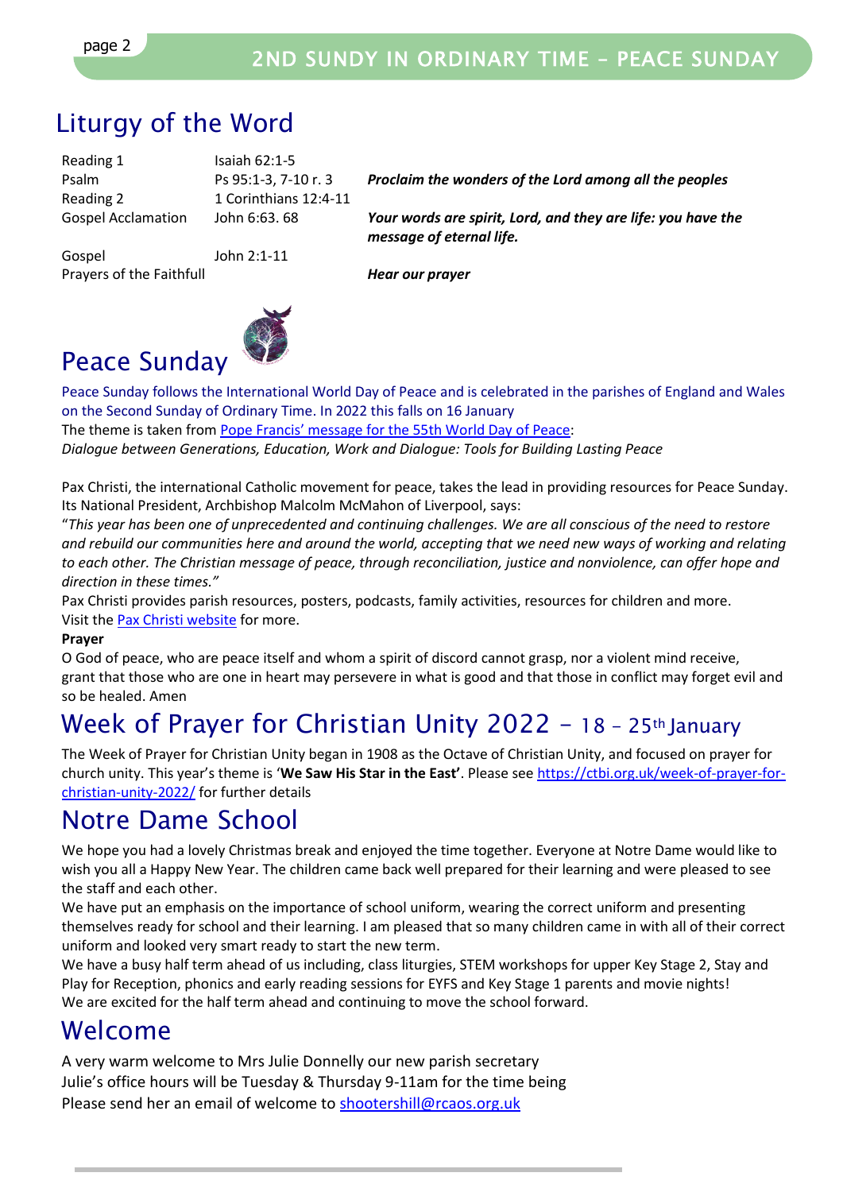# Liturgy of the Word

Reading 1 Isaiah 62:1-5 Reading 2 1 Corinthians 12:4-11

Gospel John 2:1-11 Prayers of the Faithfull *Hear our prayer*

Psalm Ps 95:1-3, 7-10 r. 3 *Proclaim the wonders of the Lord among all the peoples*

Gospel Acclamation John 6:63. 68 *Your words are spirit, Lord, and they are life: you have the message of eternal life.*



Peace Sunday follows the International World Day of Peace and is celebrated in the parishes of England and Wales on the Second Sunday of Ordinary Time. In 2022 this falls on 16 January The theme is taken from [Pope Francis' message for the 55th World Day o](https://www.cbcew.org.uk/world-day-of-peace-2022/)f Peace: *Dialogue between Generations, Education, Work and Dialogue: Tools for Building Lasting Peace*

Pax Christi, the international Catholic movement for peace, takes the lead in providing resources for Peace Sunday. Its National President, Archbishop Malcolm McMahon of Liverpool, says:

"*This year has been one of unprecedented and continuing challenges. We are all conscious of the need to restore and rebuild our communities here and around the world, accepting that we need new ways of working and relating to each other. The Christian message of peace, through reconciliation, justice and nonviolence, can offer hope and direction in these times."*

Pax Christi provides parish resources, posters, podcasts, family activities, resources for children and more. Visit the [Pax Christi website](https://paxchristi.org.uk/peace-sunday-2022) for more.

### **Prayer**

O God of peace, who are peace itself and whom a spirit of discord cannot grasp, nor a violent mind receive, grant that those who are one in heart may persevere in what is good and that those in conflict may forget evil and so be healed. Amen

# Week of Prayer for Christian Unity 2022 - 18 - 25th January

The Week of Prayer for Christian Unity began in 1908 as the Octave of Christian Unity, and focused on prayer for church unity. This year's theme is '**We Saw His Star in the East'**. Please se[e https://ctbi.org.uk/week-of-prayer-for](https://ctbi.org.uk/week-of-prayer-for-christian-unity-2022/)[christian-unity-2022/](https://ctbi.org.uk/week-of-prayer-for-christian-unity-2022/) for further details

### Notre Dame School

We hope you had a lovely Christmas break and enjoyed the time together. Everyone at Notre Dame would like to wish you all a Happy New Year. The children came back well prepared for their learning and were pleased to see the staff and each other.

We have put an emphasis on the importance of school uniform, wearing the correct uniform and presenting themselves ready for school and their learning. I am pleased that so many children came in with all of their correct uniform and looked very smart ready to start the new term.

We have a busy half term ahead of us including, class liturgies, STEM workshops for upper Key Stage 2, Stay and Play for Reception, phonics and early reading sessions for EYFS and Key Stage 1 parents and movie nights! We are excited for the half term ahead and continuing to move the school forward.

### Welcome

A very warm welcome to Mrs Julie Donnelly our new parish secretary Julie's office hours will be Tuesday & Thursday 9-11am for the time being Please send her an email of welcome t[o shootershill@rcaos.org.uk](mailto:shootershill@rcaos.org.uk)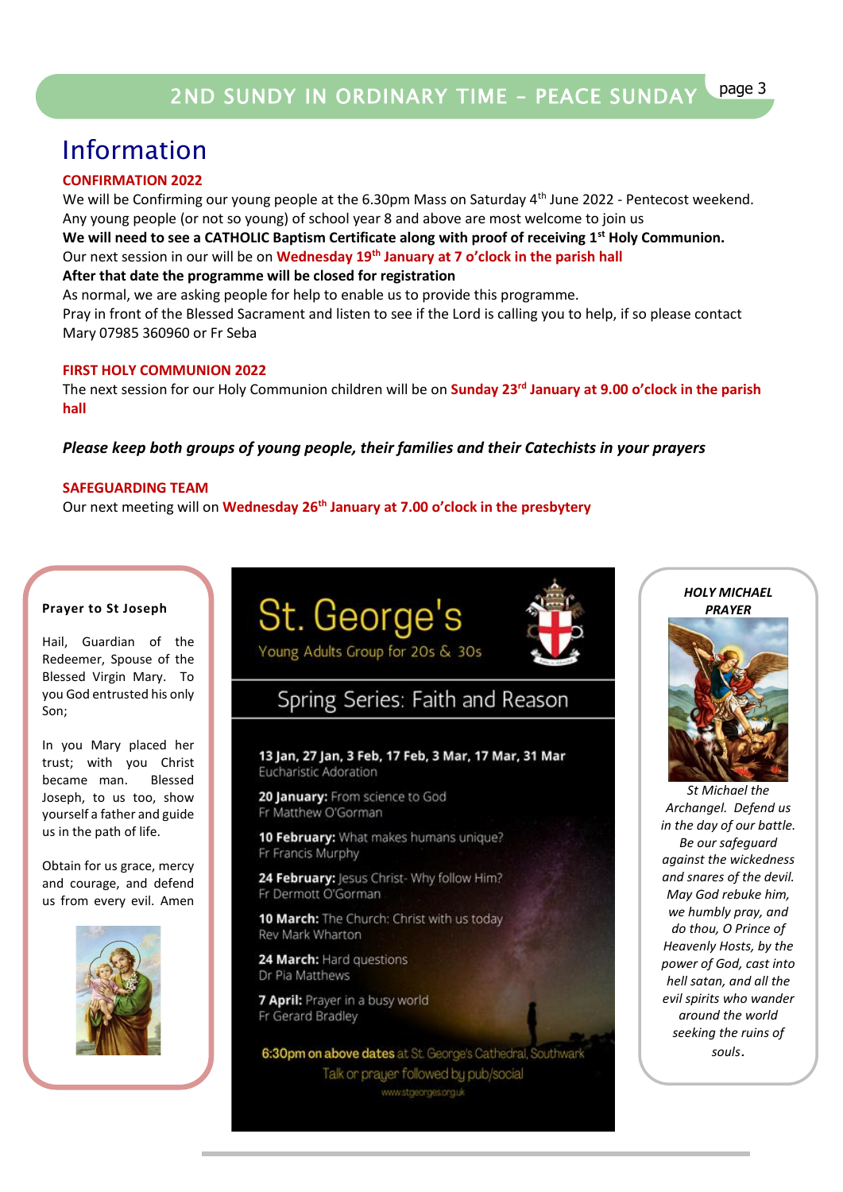### Information

### **CONFIRMATION 2022**

We will be Confirming our young people at the 6.30pm Mass on Saturday 4<sup>th</sup> June 2022 - Pentecost weekend. Any young people (or not so young) of school year 8 and above are most welcome to join us

**We will need to see a CATHOLIC Baptism Certificate along with proof of receiving 1st Holy Communion.**  Our next session in our will be on **Wednesday 19th January at 7 o'clock in the parish hall After that date the programme will be closed for registration**

As normal, we are asking people for help to enable us to provide this programme. Pray in front of the Blessed Sacrament and listen to see if the Lord is calling you to help, if so please contact Mary 07985 360960 or Fr Seba

### **FIRST HOLY COMMUNION 2022**

The next session for our Holy Communion children will be on **Sunday 23rd January at 9.00 o'clock in the parish hall**

### *Please keep both groups of young people, their families and their Catechists in your prayers*

#### **SAFEGUARDING TEAM**

Our next meeting will on **Wednesday 26th January at 7.00 o'clock in the presbytery**

#### **Prayer to St Joseph**

Hail, Guardian of the Redeemer, Spouse of the Blessed Virgin Mary. To you God entrusted his only Son;

In you Mary placed her trust; with you Christ became man. Blessed Joseph, to us too, show yourself a father and guide us in the path of life.

Obtain for us grace, mercy and courage, and defend us from every evil. Amen







### Spring Series: Faith and Reason

13 Jan, 27 Jan, 3 Feb, 17 Feb, 3 Mar, 17 Mar, 31 Mar Eucharistic Adoration

20 January: From science to God Fr Matthew O'Gorman

10 February: What makes humans unique? Fr Francis Murphy

24 February: Jesus Christ- Why follow Him? Fr Dermott O'Gorman

10 March: The Church: Christ with us today Rev Mark Wharton

24 March: Hard questions Dr Pia Matthews

7 April: Prayer in a busy world Fr Gerard Bradley

6:30pm on above dates at St. George's Cathedral, Southwark Talk or prayer followed by pub/social www.stgeorges.org.uk



*St Michael the Archangel. Defend us in the day of our battle. Be our safeguard against the wickedness and snares of the devil. May God rebuke him, we humbly pray, and do thou, O Prince of Heavenly Hosts, by the power of God, cast into hell satan, and all the evil spirits who wander around the world seeking the ruins of souls*.